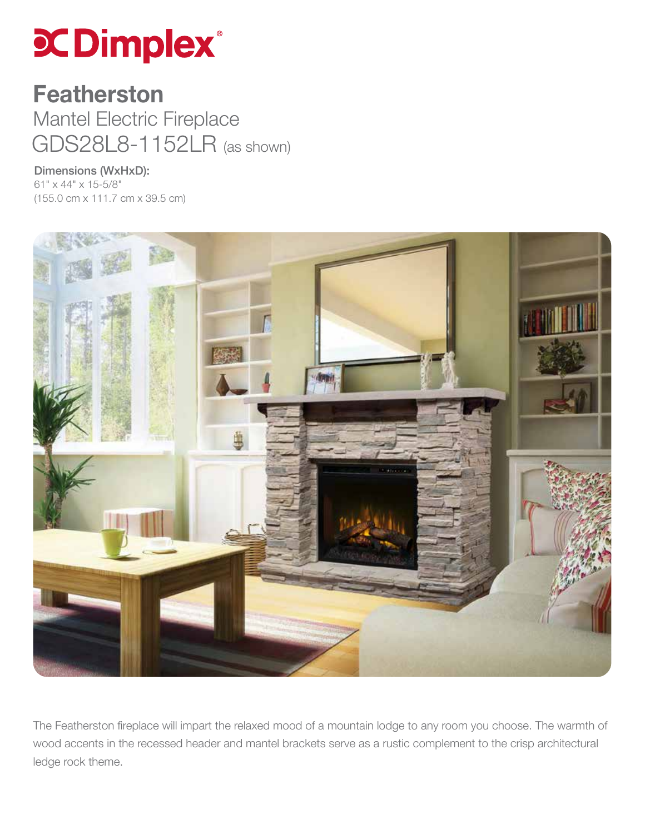## **COimplex**®

## GDS28L8-1152LR (as shown) Featherston Mantel Electric Fireplace

Dimensions (WxHxD): 61" x 44" x 15-5/8" (155.0 cm x 111.7 cm x 39.5 cm)



The Featherston fireplace will impart the relaxed mood of a mountain lodge to any room you choose. The warmth of wood accents in the recessed header and mantel brackets serve as a rustic complement to the crisp architectural ledge rock theme.